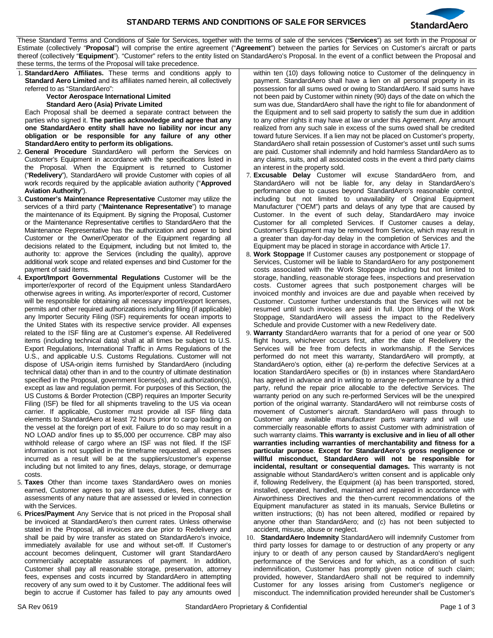

These Standard Terms and Conditions of Sale for Services, together with the terms of sale of the services ("**Services**") as set forth in the Proposal or Estimate (collectively "**Proposal**") will comprise the entire agreement ("**Agreement**") between the parties for Services on Customer's aircraft or parts thereof (collectively "**Equipment**"). "Customer" refers to the entity listed on StandardAero's Proposal. In the event of a conflict between the Proposal and these terms, the terms of the Proposal will take precedence.

1. **StandardAero Affiliates.** These terms and conditions apply to **Standard Aero Limited** and its affiliates named herein, all collectively referred to as "StandardAero":

## **Vector Aerospace International Limited Standard Aero (Asia) Private Limited**

Each Proposal shall be deemed a separate contract between the parties who signed it. **The parties acknowledge and agree that any one StandardAero entity shall have no liability nor incur any obligation or be responsible for any failure of any other StandardAero entity to perform its obligations.**

- 2. **General Procedure** StandardAero will perform the Services on Customer's Equipment in accordance with the specifications listed in the Proposal. When the Equipment is returned to Customer ("**Redelivery**"), StandardAero will provide Customer with copies of all work records required by the applicable aviation authority ("**Approved Aviation Authority**").
- 3. **Customer's Maintenance Representative** Customer may utilize the services of a third party ("**Maintenance Representative**") to manage the maintenance of its Equipment. By signing the Proposal, Customer or the Maintenance Representative certifies to StandardAero that the Maintenance Representative has the authorization and power to bind Customer or the Owner/Operator of the Equipment regarding all decisions related to the Equipment, including but not limited to, the authority to: approve the Services (including the quality), approve additional work scope and related expenses and bind Customer for the payment of said items.
- 4. **Export/Import Governmental Regulations** Customer will be the importer/exporter of record of the Equipment unless StandardAero otherwise agrees in writing. As importer/exporter of record, Customer will be responsible for obtaining all necessary import/export licenses, permits and other required authorizations including filing (if applicable) any Importer Security Filing (ISF) requirements for ocean imports to the United States with its respective service provider. All expenses related to the ISF filing are at Customer's expense. All Redelivered items (including technical data) shall at all times be subject to U.S. Export Regulations, International Traffic in Arms Regulations of the U.S., and applicable U.S. Customs Regulations. Customer will not dispose of USA-origin items furnished by StandardAero (including technical data) other than in and to the country of ultimate destination specified in the Proposal, government license(s), and authorization(s), except as law and regulation permit. For purposes of this Section, the US Customs & Border Protection (CBP) requires an Importer Security Filing (ISF) be filed for all shipments traveling to the US via ocean carrier. If applicable, Customer must provide all ISF filing data elements to StandardAero at least 72 hours prior to cargo loading on the vessel at the foreign port of exit. Failure to do so may result in a NO LOAD and/or fines up to \$5,000 per occurrence. CBP may also withhold release of cargo where an ISF was not filed. If the ISF information is not supplied in the timeframe requested, all expenses incurred as a result will be at the suppliers/customer's expense including but not limited to any fines, delays, storage, or demurrage costs.
- 5. **Taxes** Other than income taxes StandardAero owes on monies earned, Customer agrees to pay all taxes, duties, fees, charges or assessments of any nature that are assessed or levied in connection with the Services.
- 6. **Prices/Payment** Any Service that is not priced in the Proposal shall be invoiced at StandardAero's then current rates. Unless otherwise stated in the Proposal, all invoices are due prior to Redelivery and shall be paid by wire transfer as stated on StandardAero's invoice, immediately available for use and without set-off. If Customer's account becomes delinquent, Customer will grant StandardAero commercially acceptable assurances of payment. In addition, Customer shall pay all reasonable storage, preservation, attorney fees, expenses and costs incurred by StandardAero in attempting recovery of any sum owed to it by Customer. The additional fees will begin to accrue if Customer has failed to pay any amounts owed

within ten (10) days following notice to Customer of the delinquency in payment. StandardAero shall have a lien on all personal property in its possession for all sums owed or owing to StandardAero. If said sums have not been paid by Customer within ninety (90) days of the date on which the sum was due, StandardAero shall have the right to file for abandonment of the Equipment and to sell said property to satisfy the sum due in addition to any other rights it may have at law or under this Agreement. Any amount realized from any such sale in excess of the sums owed shall be credited toward future Services. If a lien may not be placed on Customer's property, StandardAero shall retain possession of Customer's asset until such sums are paid. Customer shall indemnify and hold harmless StandardAero as to any claims, suits, and all associated costs in the event a third party claims an interest in the property sold.

- 7. **Excusable Delay** Customer will excuse StandardAero from, and StandardAero will not be liable for, any delay in StandardAero's performance due to causes beyond StandardAero's reasonable control, including but not limited to unavailability of Original Equipment Manufacturer ("OEM") parts and delays of any type that are caused by Customer. In the event of such delay, StandardAero may invoice Customer for all completed Services. If Customer causes a delay, Customer's Equipment may be removed from Service, which may result in a greater than day-for-day delay in the completion of Services and the Equipment may be placed in storage in accordance with Article 17.
- Work Stoppage If Customer causes any postponement or stoppage of Services, Customer will be liable to StandardAero for any postponement costs associated with the Work Stoppage including but not limited to storage, handling, reasonable storage fees, inspections and preservation costs. Customer agrees that such postponement charges will be invoiced monthly and invoices are due and payable when received by Customer. Customer further understands that the Services will not be resumed until such invoices are paid in full. Upon lifting of the Work Stoppage, StandardAero will assess the impact to the Redelivery Schedule and provide Customer with a new Redelivery date.
- 9. **Warranty** StandardAero warrants that for a period of one year or 500 flight hours, whichever occurs first, after the date of Redelivery the Services will be free from defects in workmanship. If the Services performed do not meet this warranty, StandardAero will promptly, at StandardAero's option, either (a) re-perform the defective Services at a location StandardAero specifies or (b) in instances where StandardAero has agreed in advance and in writing to arrange re-performance by a third party, refund the repair price allocable to the defective Services. The warranty period on any such re-performed Services will be the unexpired portion of the original warranty. StandardAero will not reimburse costs of movement of Customer's aircraft. StandardAero will pass through to Customer any available manufacturer parts warranty and will use commercially reasonable efforts to assist Customer with administration of such warranty claims. **This warranty is exclusive and in lieu of all other warranties including warranties of merchantability and fitness for a particular purpose**. **Except for StandardAero's gross negligence or willful misconduct, StandardAero will not be responsible for incidental, resultant or consequential damages.** This warranty is not assignable without StandardAero's written consent and is applicable only if, following Redelivery, the Equipment (a) has been transported, stored, installed, operated, handled, maintained and repaired in accordance with Airworthiness Directives and the then-current recommendations of the Equipment manufacturer as stated in its manuals, Service Bulletins or written instructions; (b) has not been altered, modified or repaired by anyone other than StandardAero; and (c) has not been subjected to accident, misuse, abuse or neglect.
- 10. **StandardAero Indemnity** StandardAero will indemnify Customer from third party losses for damage to or destruction of any property or any injury to or death of any person caused by StandardAero's negligent performance of the Services and for which, as a condition of such indemnification, Customer has promptly given notice of such claim; provided, however, StandardAero shall not be required to indemnify Customer for any losses arising from Customer's negligence or misconduct. The indemnification provided hereunder shall be Customer's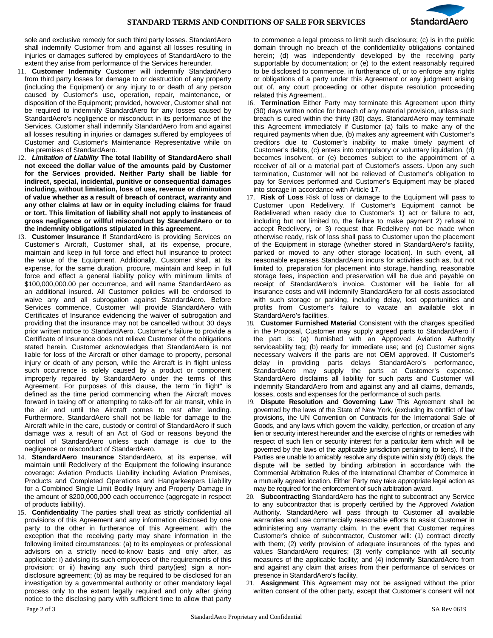

sole and exclusive remedy for such third party losses. StandardAero shall indemnify Customer from and against all losses resulting in injuries or damages suffered by employees of StandardAero to the extent they arise from performance of the Services hereunder.

- 11. **Customer Indemnity** Customer will indemnify StandardAero from third party losses for damage to or destruction of any property (including the Equipment) or any injury to or death of any person caused by Customer's use, operation, repair, maintenance, or disposition of the Equipment; provided, however, Customer shall not be required to indemnify StandardAero for any losses caused by StandardAero's negligence or misconduct in its performance of the Services. Customer shall indemnify StandardAero from and against all losses resulting in injuries or damages suffered by employees of Customer and Customer's Maintenance Representative while on the premises of StandardAero.
- 12. *Limitation of Liability* **The total liability of StandardAero shall not exceed the dollar value of the amounts paid by Customer for the Services provided. Neither Party shall be liable for indirect, special, incidental, punitive or consequential damages including, without limitation, loss of use, revenue or diminution of value whether as a result of breach of contract, warranty and any other claims at law or in equity including claims for fraud or tort. This limitation of liability shall not apply to instances of gross negligence or willful misconduct by StandardAero or to the indemnity obligations stipulated in this agreement.**
- 13. **Customer Insurance** If StandardAero is providing Services on Customer's Aircraft, Customer shall, at its expense, procure, maintain and keep in full force and effect hull insurance to protect the value of the Equipment. Additionally, Customer shall, at its expense, for the same duration, procure, maintain and keep in full force and effect a general liability policy with minimum limits of \$100,000,000.00 per occurrence, and will name StandardAero as an additional insured. All Customer policies will be endorsed to waive any and all subrogation against StandardAero. Before Services commence, Customer will provide StandardAero with Certificates of Insurance evidencing the waiver of subrogation and providing that the insurance may not be cancelled without 30 days prior written notice to StandardAero. Customer's failure to provide a Certificate of Insurance does not relieve Customer of the obligations stated herein. Customer acknowledges that StandardAero is not liable for loss of the Aircraft or other damage to property, personal injury or death of any person, while the Aircraft is in flight unless such occurrence is solely caused by a product or component improperly repaired by StandardAero under the terms of this Agreement. For purposes of this clause, the term "in flight" is defined as the time period commencing when the Aircraft moves forward in taking off or attempting to take-off for air transit, while in the air and until the Aircraft comes to rest after landing. Furthermore, StandardAero shall not be liable for damage to the Aircraft while in the care, custody or control of StandardAero if such damage was a result of an Act of God or reasons beyond the control of StandardAero unless such damage is due to the negligence or misconduct of StandardAero.
- 14. **StandardAero Insurance** StandardAero, at its expense, will maintain until Redelivery of the Equipment the following insurance coverage: Aviation Products Liability including Aviation Premises, Products and Completed Operations and Hangarkeepers Liability for a Combined Single Limit Bodily Injury and Property Damage in the amount of \$200,000,000 each occurrence (aggregate in respect of products liability).
- 15. **Confidentiality** The parties shall treat as strictly confidential all provisions of this Agreement and any information disclosed by one party to the other in furtherance of this Agreement, with the exception that the receiving party may share information in the following limited circumstances: (a) to its employees or professional advisors on a strictly need-to-know basis and only after, as applicable: i) advising its such employees of the requirements of this provision; or ii) having any such third party(ies) sign a nondisclosure agreement; (b) as may be required to be disclosed for an investigation by a governmental authority or other mandatory legal process only to the extent legally required and only after giving notice to the disclosing party with sufficient time to allow that party

to commence a legal process to limit such disclosure; (c) is in the public domain through no breach of the confidentiality obligations contained herein; (d) was independently developed by the receiving party supportable by documentation; or (e) to the extent reasonably required to be disclosed to commence, in furtherance of, or to enforce any rights or obligations of a party under this Agreement or any judgment arising out of, any court proceeding or other dispute resolution proceeding related this Agreement..

- 16. **Termination** Either Party may terminate this Agreement upon thirty (30) days written notice for breach of any material provision, unless such breach is cured within the thirty (30) days. StandardAero may terminate this Agreement immediately if Customer (a) fails to make any of the required payments when due, (b) makes any agreement with Customer's creditors due to Customer's inability to make timely payment of Customer's debts, (c) enters into compulsory or voluntary liquidation, (d) becomes insolvent, or (e) becomes subject to the appointment of a receiver of all or a material part of Customer's assets. Upon any such termination, Customer will not be relieved of Customer's obligation to pay for Services performed and Customer's Equipment may be placed into storage in accordance with Article 17.
- 17. **Risk of Loss** Risk of loss or damage to the Equipment will pass to Customer upon Redelivery. If Customer's Equipment cannot be Redelivered when ready due to Customer's 1) act or failure to act, including but not limited to, the failure to make payment 2) refusal to accept Redelivery, or 3) request that Redelivery not be made when otherwise ready, risk of loss shall pass to Customer upon the placement of the Equipment in storage (whether stored in StandardAero's facility, parked or moved to any other storage location). In such event, all reasonable expenses StandardAero incurs for activities such as, but not limited to, preparation for placement into storage, handling, reasonable storage fees, inspection and preservation will be due and payable on receipt of StandardAero's invoice. Customer will be liable for all insurance costs and will indemnify StandardAero for all costs associated with such storage or parking, including delay, lost opportunities and profits from Customer's failure to vacate an available slot in StandardAero's facilities.
- 18. **Customer Furnished Material** Consistent with the charges specified in the Proposal, Customer may supply agreed parts to StandardAero if the part is: (a) furnished with an Approved Aviation Authority serviceability tag; (b) ready for immediate use; and (c) Customer signs necessary waivers if the parts are not OEM approved. If Customer's delay in providing parts delays StandardAero's performance, StandardAero may supply the parts at Customer's expense. StandardAero disclaims all liability for such parts and Customer will indemnify StandardAero from and against any and all claims, demands, losses, costs and expenses for the performance of such parts.
- 19. **Dispute Resolution and Governing Law** This Agreement shall be governed by the laws of the State of New York, (excluding its conflict of law provisions, the UN Convention on Contracts for the International Sale of Goods, and any laws which govern the validity, perfection, or creation of any lien or security interest hereunder and the exercise of rights or remedies with respect of such lien or security interest for a particular item which will be governed by the laws of the applicable jurisdiction pertaining to liens). If the Parties are unable to amicably resolve any dispute within sixty (60) days, the dispute will be settled by binding arbitration in accordance with the Commercial Arbitration Rules of the International Chamber of Commerce in a mutually agreed location. Either Party may take appropriate legal action as may be required for the enforcement of such arbitration award.
- 20. **Subcontracting** StandardAero has the right to subcontract any Service to any subcontractor that is properly certified by the Approved Aviation Authority. StandardAero will pass through to Customer all available warranties and use commercially reasonable efforts to assist Customer in administering any warranty claim. In the event that Customer requires Customer's choice of subcontractor, Customer will: (1) contract directly with them; (2) verify provision of adequate insurances of the types and values StandardAero requires; (3) verify compliance with all security measures of the applicable facility; and (4) indemnify StandardAero from and against any claim that arises from their performance of services or presence in StandardAero's facility.
- 21. **Assignment** This Agreement may not be assigned without the prior written consent of the other party, except that Customer's consent will not